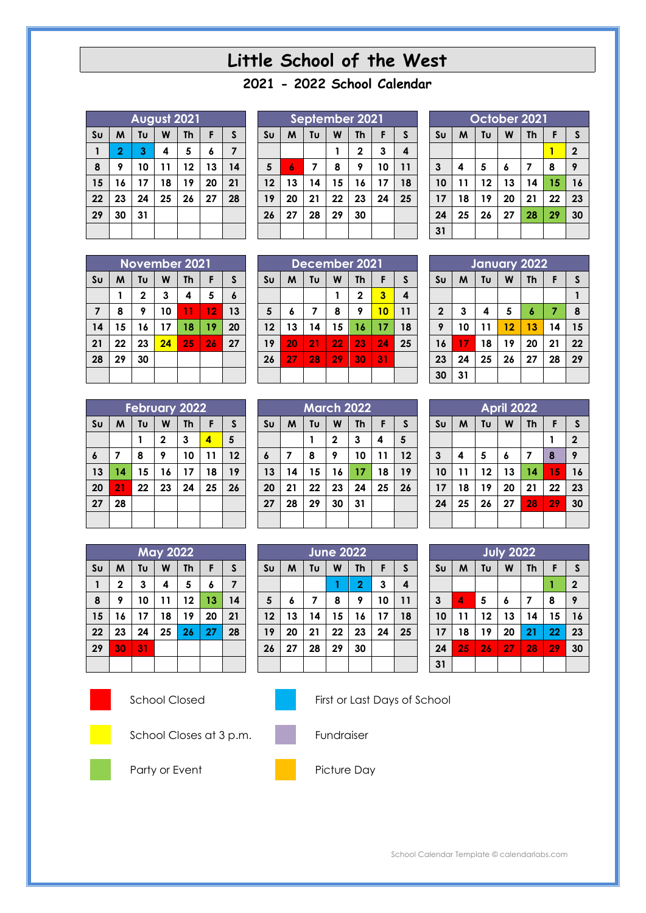# **Little School of the West**

## **- 2022 School Calendar**

| August 2021    |                |    |    |           |    |    |  |  |  |  |
|----------------|----------------|----|----|-----------|----|----|--|--|--|--|
| S <sub>U</sub> | M              | Tυ | W  | <b>Th</b> | F  | S  |  |  |  |  |
|                | $\overline{2}$ | 3  | 4  | 5         | 6  | 7  |  |  |  |  |
| 8              | 9              | 10 | 11 | 12        | 13 | 14 |  |  |  |  |
| 15             | 16             | 17 | 18 | 19        | 20 | 21 |  |  |  |  |
| 22             | 23             | 24 | 25 | 26        | 27 | 28 |  |  |  |  |
| 29             | 30             | 31 |    |           |    |    |  |  |  |  |
|                |                |    |    |           |    |    |  |  |  |  |

| September 2021 |    |    |    |              |    |    |  |  |  |  |
|----------------|----|----|----|--------------|----|----|--|--|--|--|
| S <sub>U</sub> | M  | Tυ | W  | <b>Th</b>    | F  | S  |  |  |  |  |
|                |    |    |    | $\mathbf{2}$ | 3  | 4  |  |  |  |  |
| 5              | 6  | 7  | 8  | 9            | 10 | 11 |  |  |  |  |
| 12             | 13 | 14 | 15 | 16           | 17 | 18 |  |  |  |  |
| 19             | 20 | 21 | 22 | 23           | 24 | 25 |  |  |  |  |
| 26             | 27 | 28 | 29 | 30           |    |    |  |  |  |  |
|                |    |    |    |              |    |    |  |  |  |  |

**March 2022**  $\mathbf{S} \mathbf{u}$  | **M** | **Tu** | **W** | **Th** | **F** | **S** 

 **7 8 9 10 11 12 14 15 16 17 18 19 21 22 23 24 25 26**

**June 2022 Su M Tu W Th F S**

 **6 7 8 9 10 11 13 14 15 16 17 18 20 21 22 23 24 25**

**28 29 30 31**

**27 28 29 30**

**2 3 4 5**

| October 2021   |                                     |    |    |    |    |                |  |  |  |  |
|----------------|-------------------------------------|----|----|----|----|----------------|--|--|--|--|
| S <sub>U</sub> | Tυ<br>W<br>S<br>M<br>F<br><b>Th</b> |    |    |    |    |                |  |  |  |  |
|                |                                     |    |    |    |    | $\overline{2}$ |  |  |  |  |
| $\mathbf{3}$   | 4                                   | 5  | 6  | 7  | 8  | 9              |  |  |  |  |
| 10             | 11                                  | 12 | 13 | 14 | 15 | 16             |  |  |  |  |
| 17             | 18                                  | 19 | 20 | 21 | 22 | 23             |  |  |  |  |
| 24             | 25                                  | 26 | 27 | 28 | 29 | 30             |  |  |  |  |
| 31             |                                     |    |    |    |    |                |  |  |  |  |

| November 2021  |    |                           |    |    |    |                  |  |  |  |  |
|----------------|----|---------------------------|----|----|----|------------------|--|--|--|--|
| S <sub>U</sub> | M  | Tυ<br>W<br><b>Th</b><br>F |    |    |    |                  |  |  |  |  |
|                |    | 2                         | 3  | 4  | 5  | $\boldsymbol{6}$ |  |  |  |  |
| $\overline{7}$ | 8  | 9                         | 10 | 11 | 12 | 13               |  |  |  |  |
| 14             | 15 | 16                        | 17 | 18 | 19 | 20               |  |  |  |  |
| 21             | 22 | 23                        | 24 | 25 | 26 | 27               |  |  |  |  |
| 28             | 29 | 30                        |    |    |    |                  |  |  |  |  |
|                |    |                           |    |    |    |                  |  |  |  |  |

| <b>February 2022</b> |    |                           |              |    |    |    |  |  |  |  |
|----------------------|----|---------------------------|--------------|----|----|----|--|--|--|--|
| S <sub>U</sub>       | M  | F<br>Tυ<br><b>Th</b><br>W |              |    |    |    |  |  |  |  |
|                      |    |                           | $\mathbf{2}$ | 3  | 4  | 5  |  |  |  |  |
| 6                    | 7  | 8                         | 9            | 10 | 11 | 12 |  |  |  |  |
| 13                   | 14 | 15                        | 16           | 17 | 18 | 19 |  |  |  |  |
| 20                   | 21 | 22                        | 23           | 24 | 25 | 26 |  |  |  |  |
| 27                   | 28 |                           |              |    |    |    |  |  |  |  |
|                      |    |                           |              |    |    |    |  |  |  |  |

|                | <b>May 2022</b> |    |    |    |    |    |  |  |  |  |  |
|----------------|-----------------|----|----|----|----|----|--|--|--|--|--|
| S <sub>U</sub> | M               | Tυ | F  | S  |    |    |  |  |  |  |  |
| 1              | $\mathbf 2$     | 3  | 4  | 5  | 6  | 7  |  |  |  |  |  |
| 8              | 9               | 10 | 11 | 12 | 13 | 14 |  |  |  |  |  |
| 15             | 16              | 17 | 18 | 19 | 20 | 21 |  |  |  |  |  |
| 22             | 23              | 24 | 25 | 26 | 27 | 28 |  |  |  |  |  |
| 29             | 30              | 31 |    |    |    |    |  |  |  |  |  |
|                |                 |    |    |    |    |    |  |  |  |  |  |





School Closed First or Last Days of School

**2 3 4**



School Closes at 3 p.m. Fundraiser







Party or Event Picture Day

| December 2021 |    |    |    |              |    |    |              |    | January 2022 |    |    |    |    |
|---------------|----|----|----|--------------|----|----|--------------|----|--------------|----|----|----|----|
| Sυ            | M  | Tυ | W  | Th           | F  | S  | Sυ           | м  | Τu           | W  | Th | F  | S. |
|               |    |    |    | $\mathbf{2}$ | 3  | 4  |              |    |              |    |    |    |    |
| 5             | 6  | 7  | 8  | 9            | 10 | 11 | $\mathbf{2}$ | 3  | 4            | 5  | 6  | 7  | 8  |
| 12            | 13 | 14 | 15 | 16           | 17 | 18 | 9            | 10 | 11           | 12 | 13 | 14 | 15 |
| 19            | 20 | 21 | 22 | 23           | 24 | 25 | 16           | 17 | 18           | 19 | 20 | 21 | 22 |
| 26            | 27 | 28 | 29 | 30           | 31 |    | 23           | 24 | 25           | 26 | 27 | 28 | 29 |
|               |    |    |    |              |    |    | 30           | 31 |              |    |    |    |    |

| April 2022     |    |                                           |    |    |    |              |  |  |  |  |
|----------------|----|-------------------------------------------|----|----|----|--------------|--|--|--|--|
| S <sub>U</sub> | M  | Tυ<br>F<br>W<br>$\mathsf{s}$<br><b>Th</b> |    |    |    |              |  |  |  |  |
|                |    |                                           |    |    |    | $\mathbf{2}$ |  |  |  |  |
| $\mathbf{3}$   | 4  | 5                                         | 6  | 7  | 8  | 9            |  |  |  |  |
| 10             | 11 | 12                                        | 13 | 14 | 15 | 16           |  |  |  |  |
| 17             | 18 | 19                                        | 20 | 21 | 22 | 23           |  |  |  |  |
| 24             | 25 | 26                                        | 27 | 28 | 29 | 30           |  |  |  |  |
|                |    |                                           |    |    |    |              |  |  |  |  |

| <b>July 2022</b> |    |                                |    |    |    |              |  |  |  |  |
|------------------|----|--------------------------------|----|----|----|--------------|--|--|--|--|
| Su               | M  | Tυ<br>W<br>F<br><b>Th</b><br>S |    |    |    |              |  |  |  |  |
|                  |    |                                |    |    |    | $\mathbf{2}$ |  |  |  |  |
| $\mathbf{3}$     | 4  | 5                              | 6  | 7  | 8  | 9            |  |  |  |  |
| 10               | 11 | 12                             | 13 | 14 | 15 | 16           |  |  |  |  |
| 17               | 18 | 19                             | 20 | 21 | 22 | 23           |  |  |  |  |
| 24               | 25 | 26                             | 27 | 28 | 29 | 30           |  |  |  |  |
| 31               |    |                                |    |    |    |              |  |  |  |  |